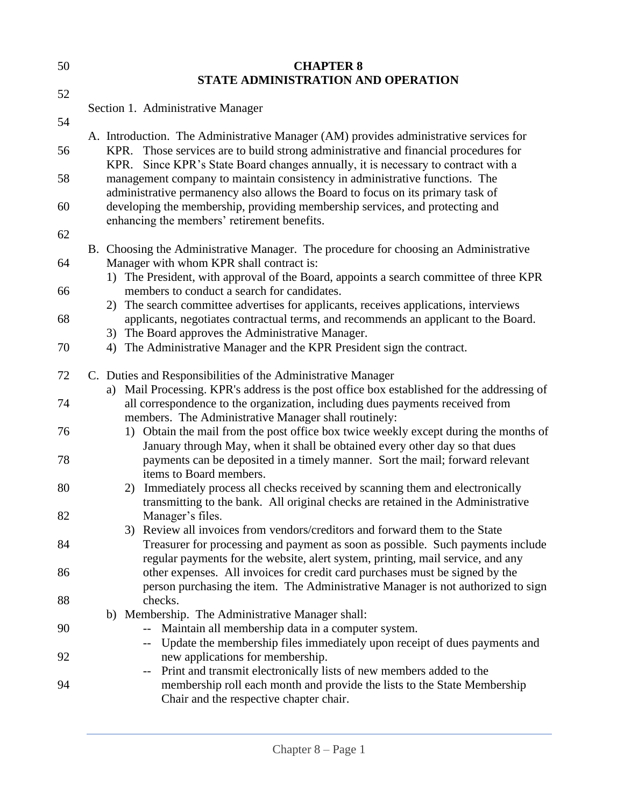| 50 | <b>CHAPTER 8</b>                                                                                                                                                                                                                                                  |
|----|-------------------------------------------------------------------------------------------------------------------------------------------------------------------------------------------------------------------------------------------------------------------|
|    | STATE ADMINISTRATION AND OPERATION                                                                                                                                                                                                                                |
| 52 | Section 1. Administrative Manager                                                                                                                                                                                                                                 |
| 54 |                                                                                                                                                                                                                                                                   |
| 56 | A. Introduction. The Administrative Manager (AM) provides administrative services for<br>KPR. Those services are to build strong administrative and financial procedures for<br>KPR. Since KPR's State Board changes annually, it is necessary to contract with a |
| 58 | management company to maintain consistency in administrative functions. The<br>administrative permanency also allows the Board to focus on its primary task of                                                                                                    |
| 60 | developing the membership, providing membership services, and protecting and<br>enhancing the members' retirement benefits.                                                                                                                                       |
| 62 |                                                                                                                                                                                                                                                                   |
| 64 | B. Choosing the Administrative Manager. The procedure for choosing an Administrative<br>Manager with whom KPR shall contract is:                                                                                                                                  |
| 66 | 1) The President, with approval of the Board, appoints a search committee of three KPR<br>members to conduct a search for candidates.                                                                                                                             |
|    | 2) The search committee advertises for applicants, receives applications, interviews                                                                                                                                                                              |
| 68 | applicants, negotiates contractual terms, and recommends an applicant to the Board.<br>3) The Board approves the Administrative Manager.                                                                                                                          |
| 70 | 4) The Administrative Manager and the KPR President sign the contract.                                                                                                                                                                                            |
| 72 | C. Duties and Responsibilities of the Administrative Manager                                                                                                                                                                                                      |
|    | a) Mail Processing. KPR's address is the post office box established for the addressing of                                                                                                                                                                        |
| 74 | all correspondence to the organization, including dues payments received from<br>members. The Administrative Manager shall routinely:                                                                                                                             |
| 76 | 1) Obtain the mail from the post office box twice weekly except during the months of<br>January through May, when it shall be obtained every other day so that dues                                                                                               |
| 78 | payments can be deposited in a timely manner. Sort the mail; forward relevant<br>items to Board members.                                                                                                                                                          |
| 80 | 2) Immediately process all checks received by scanning them and electronically<br>transmitting to the bank. All original checks are retained in the Administrative                                                                                                |
| 82 | Manager's files.                                                                                                                                                                                                                                                  |
|    | 3) Review all invoices from vendors/creditors and forward them to the State                                                                                                                                                                                       |
| 84 | Treasurer for processing and payment as soon as possible. Such payments include<br>regular payments for the website, alert system, printing, mail service, and any                                                                                                |
| 86 | other expenses. All invoices for credit card purchases must be signed by the<br>person purchasing the item. The Administrative Manager is not authorized to sign                                                                                                  |
| 88 | checks.                                                                                                                                                                                                                                                           |
|    | b) Membership. The Administrative Manager shall:                                                                                                                                                                                                                  |
| 90 | Maintain all membership data in a computer system.<br>Update the membership files immediately upon receipt of dues payments and<br>÷÷.                                                                                                                            |
| 92 | new applications for membership.<br>Print and transmit electronically lists of new members added to the                                                                                                                                                           |
| 94 | membership roll each month and provide the lists to the State Membership<br>Chair and the respective chapter chair.                                                                                                                                               |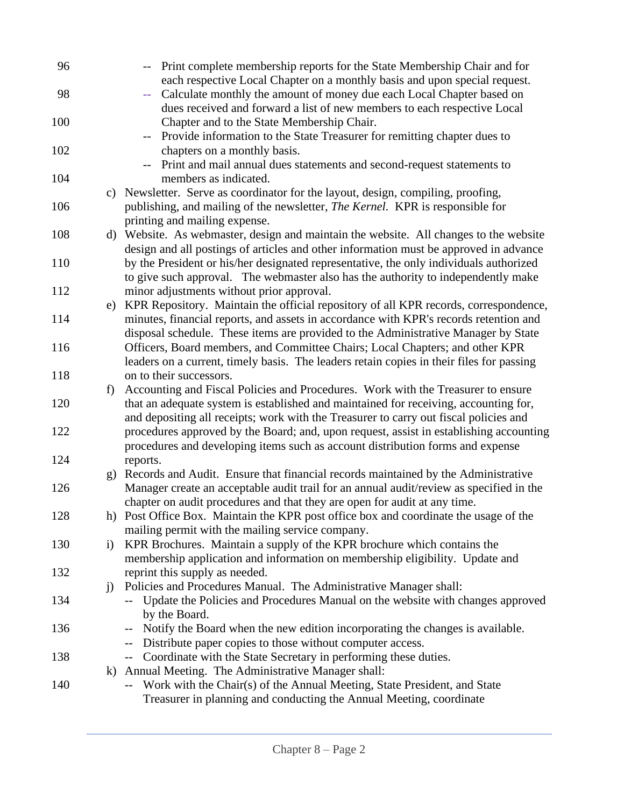| 96  |              | Print complete membership reports for the State Membership Chair and for                 |
|-----|--------------|------------------------------------------------------------------------------------------|
|     |              | each respective Local Chapter on a monthly basis and upon special request.               |
| 98  |              | Calculate monthly the amount of money due each Local Chapter based on<br>$\perp$ .       |
|     |              | dues received and forward a list of new members to each respective Local                 |
| 100 |              | Chapter and to the State Membership Chair.                                               |
|     |              | Provide information to the State Treasurer for remitting chapter dues to                 |
| 102 |              | chapters on a monthly basis.                                                             |
|     |              | Print and mail annual dues statements and second-request statements to                   |
| 104 |              | members as indicated.                                                                    |
|     |              | c) Newsletter. Serve as coordinator for the layout, design, compiling, proofing,         |
| 106 |              | publishing, and mailing of the newsletter, <i>The Kernel</i> . KPR is responsible for    |
|     |              | printing and mailing expense.                                                            |
| 108 |              | d) Website. As webmaster, design and maintain the website. All changes to the website    |
|     |              | design and all postings of articles and other information must be approved in advance    |
| 110 |              | by the President or his/her designated representative, the only individuals authorized   |
|     |              | to give such approval. The webmaster also has the authority to independently make        |
| 112 |              | minor adjustments without prior approval.                                                |
|     | e)           | KPR Repository. Maintain the official repository of all KPR records, correspondence,     |
| 114 |              | minutes, financial reports, and assets in accordance with KPR's records retention and    |
|     |              | disposal schedule. These items are provided to the Administrative Manager by State       |
| 116 |              | Officers, Board members, and Committee Chairs; Local Chapters; and other KPR             |
|     |              | leaders on a current, timely basis. The leaders retain copies in their files for passing |
| 118 |              | on to their successors.                                                                  |
|     | f)           | Accounting and Fiscal Policies and Procedures. Work with the Treasurer to ensure         |
| 120 |              | that an adequate system is established and maintained for receiving, accounting for,     |
|     |              | and depositing all receipts; work with the Treasurer to carry out fiscal policies and    |
| 122 |              | procedures approved by the Board; and, upon request, assist in establishing accounting   |
|     |              | procedures and developing items such as account distribution forms and expense           |
| 124 |              | reports.                                                                                 |
|     |              | Records and Audit. Ensure that financial records maintained by the Administrative        |
| 126 | g)           | Manager create an acceptable audit trail for an annual audit/review as specified in the  |
|     |              | chapter on audit procedures and that they are open for audit at any time.                |
|     |              |                                                                                          |
| 128 |              | h) Post Office Box. Maintain the KPR post office box and coordinate the usage of the     |
|     |              | mailing permit with the mailing service company.                                         |
| 130 | $\mathbf{i}$ | KPR Brochures. Maintain a supply of the KPR brochure which contains the                  |
|     |              | membership application and information on membership eligibility. Update and             |
| 132 |              | reprint this supply as needed.                                                           |
|     | $\ddot{1}$   | Policies and Procedures Manual. The Administrative Manager shall:                        |
| 134 |              | Update the Policies and Procedures Manual on the website with changes approved           |
|     |              | by the Board.                                                                            |
| 136 |              | Notify the Board when the new edition incorporating the changes is available.<br>$--$    |
|     |              | Distribute paper copies to those without computer access.<br>$--$                        |
| 138 |              | Coordinate with the State Secretary in performing these duties.<br>$--$                  |
|     | $\bf k)$     | Annual Meeting. The Administrative Manager shall:                                        |
| 140 |              | Work with the Chair(s) of the Annual Meeting, State President, and State<br>$- -$        |
|     |              | Treasurer in planning and conducting the Annual Meeting, coordinate                      |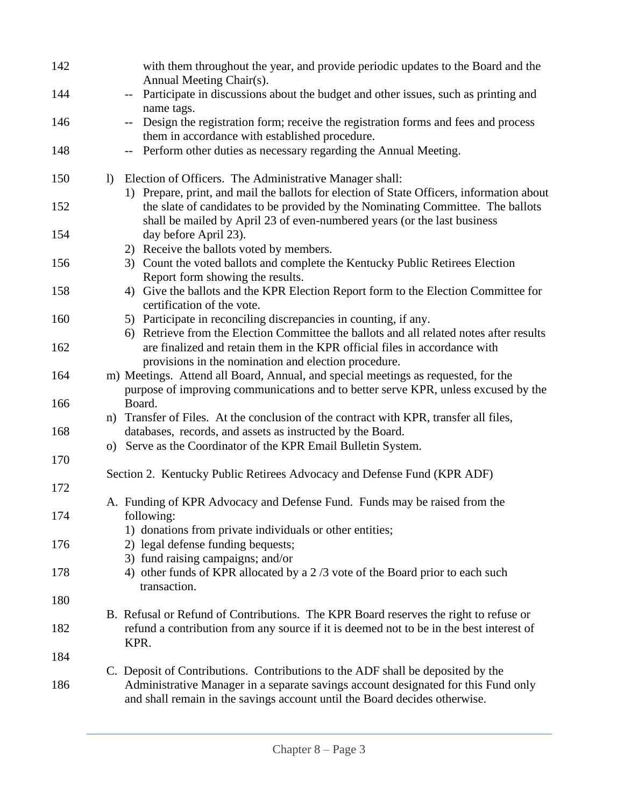| 142 |                  | with them throughout the year, and provide periodic updates to the Board and the<br>Annual Meeting Chair(s).                                                            |
|-----|------------------|-------------------------------------------------------------------------------------------------------------------------------------------------------------------------|
| 144 |                  | Participate in discussions about the budget and other issues, such as printing and<br>$- -$                                                                             |
| 146 |                  | name tags.<br>Design the registration form; receive the registration forms and fees and process<br>$- -$<br>them in accordance with established procedure.              |
| 148 |                  | Perform other duties as necessary regarding the Annual Meeting.<br>$--$                                                                                                 |
| 150 | $\left  \right $ | Election of Officers. The Administrative Manager shall:<br>1) Prepare, print, and mail the ballots for election of State Officers, information about                    |
| 152 |                  | the slate of candidates to be provided by the Nominating Committee. The ballots<br>shall be mailed by April 23 of even-numbered years (or the last business             |
| 154 |                  | day before April 23).<br>Receive the ballots voted by members.<br>2)                                                                                                    |
| 156 |                  | 3) Count the voted ballots and complete the Kentucky Public Retirees Election<br>Report form showing the results.                                                       |
| 158 |                  | 4) Give the ballots and the KPR Election Report form to the Election Committee for<br>certification of the vote.                                                        |
| 160 |                  | 5) Participate in reconciling discrepancies in counting, if any.<br>Retrieve from the Election Committee the ballots and all related notes after results<br>6)          |
| 162 |                  | are finalized and retain them in the KPR official files in accordance with<br>provisions in the nomination and election procedure.                                      |
| 164 |                  | m) Meetings. Attend all Board, Annual, and special meetings as requested, for the<br>purpose of improving communications and to better serve KPR, unless excused by the |
| 166 |                  | Board.                                                                                                                                                                  |
| 168 |                  | n) Transfer of Files. At the conclusion of the contract with KPR, transfer all files,<br>databases, records, and assets as instructed by the Board.                     |
| 170 |                  | o) Serve as the Coordinator of the KPR Email Bulletin System.                                                                                                           |
| 172 |                  | Section 2. Kentucky Public Retirees Advocacy and Defense Fund (KPR ADF)                                                                                                 |
|     |                  | A. Funding of KPR Advocacy and Defense Fund. Funds may be raised from the                                                                                               |
| 174 |                  | following:<br>1) donations from private individuals or other entities;                                                                                                  |
| 176 |                  | 2) legal defense funding bequests;<br>3) fund raising campaigns; and/or                                                                                                 |
| 178 |                  | 4) other funds of KPR allocated by a 2/3 vote of the Board prior to each such<br>transaction.                                                                           |
| 180 |                  | B. Refusal or Refund of Contributions. The KPR Board reserves the right to refuse or                                                                                    |
| 182 |                  | refund a contribution from any source if it is deemed not to be in the best interest of<br>KPR.                                                                         |
| 184 |                  | C. Deposit of Contributions. Contributions to the ADF shall be deposited by the                                                                                         |
| 186 |                  | Administrative Manager in a separate savings account designated for this Fund only<br>and shall remain in the savings account until the Board decides otherwise.        |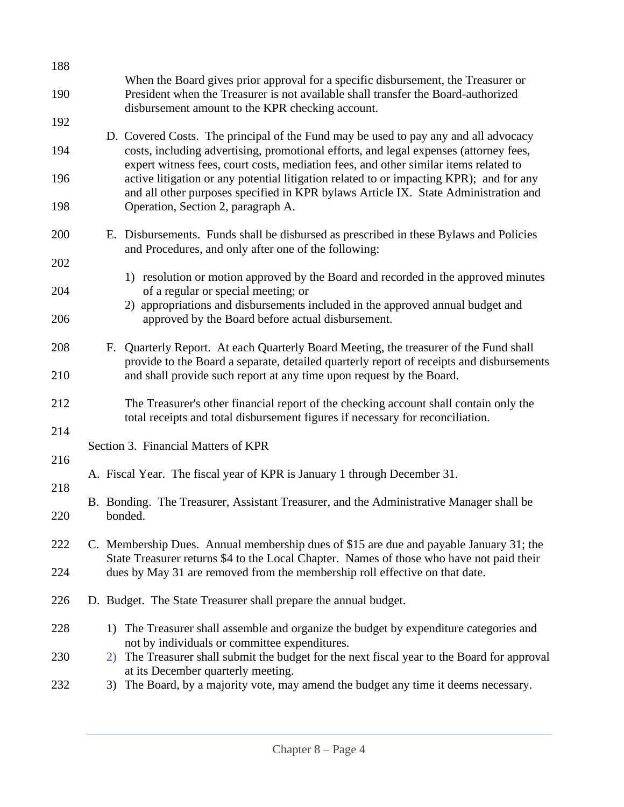| 188        |    |                                                                                                                                                                                                                                                                      |
|------------|----|----------------------------------------------------------------------------------------------------------------------------------------------------------------------------------------------------------------------------------------------------------------------|
| 190        |    | When the Board gives prior approval for a specific disbursement, the Treasurer or<br>President when the Treasurer is not available shall transfer the Board-authorized<br>disbursement amount to the KPR checking account.                                           |
| 192        |    |                                                                                                                                                                                                                                                                      |
| 194        |    | D. Covered Costs. The principal of the Fund may be used to pay any and all advocacy<br>costs, including advertising, promotional efforts, and legal expenses (attorney fees,<br>expert witness fees, court costs, mediation fees, and other similar items related to |
| 196        |    | active litigation or any potential litigation related to or impacting KPR); and for any<br>and all other purposes specified in KPR bylaws Article IX. State Administration and                                                                                       |
| 198        |    | Operation, Section 2, paragraph A.                                                                                                                                                                                                                                   |
| 200        |    | E. Disbursements. Funds shall be disbursed as prescribed in these Bylaws and Policies<br>and Procedures, and only after one of the following:                                                                                                                        |
| 202        |    |                                                                                                                                                                                                                                                                      |
| 204        |    | 1) resolution or motion approved by the Board and recorded in the approved minutes<br>of a regular or special meeting; or<br>2) appropriations and disbursements included in the approved annual budget and                                                          |
| 206        |    | approved by the Board before actual disbursement.                                                                                                                                                                                                                    |
| 208        |    | F. Quarterly Report. At each Quarterly Board Meeting, the treasurer of the Fund shall<br>provide to the Board a separate, detailed quarterly report of receipts and disbursements                                                                                    |
| 210        |    | and shall provide such report at any time upon request by the Board.                                                                                                                                                                                                 |
| 212<br>214 |    | The Treasurer's other financial report of the checking account shall contain only the<br>total receipts and total disbursement figures if necessary for reconciliation.                                                                                              |
| 216        |    | Section 3. Financial Matters of KPR                                                                                                                                                                                                                                  |
| 218        |    | A. Fiscal Year. The fiscal year of KPR is January 1 through December 31.                                                                                                                                                                                             |
| 220        |    | B. Bonding. The Treasurer, Assistant Treasurer, and the Administrative Manager shall be<br>bonded.                                                                                                                                                                   |
| 222        |    | C. Membership Dues. Annual membership dues of \$15 are due and payable January 31; the                                                                                                                                                                               |
| 224        |    | State Treasurer returns \$4 to the Local Chapter. Names of those who have not paid their<br>dues by May 31 are removed from the membership roll effective on that date.                                                                                              |
| 226        |    | D. Budget. The State Treasurer shall prepare the annual budget.                                                                                                                                                                                                      |
| 228        |    | 1) The Treasurer shall assemble and organize the budget by expenditure categories and<br>not by individuals or committee expenditures.                                                                                                                               |
| 230        | 2) | The Treasurer shall submit the budget for the next fiscal year to the Board for approval<br>at its December quarterly meeting.                                                                                                                                       |
| 232        |    | 3) The Board, by a majority vote, may amend the budget any time it deems necessary.                                                                                                                                                                                  |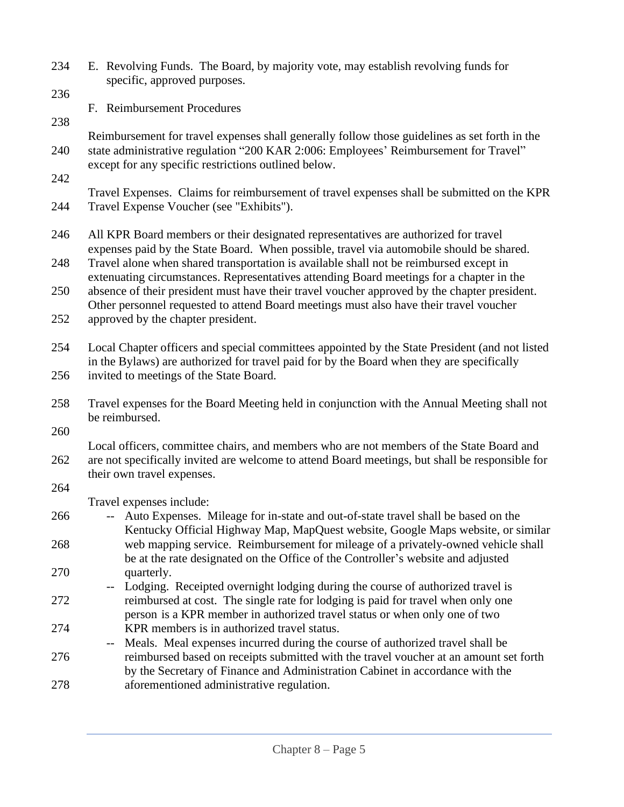| 234 | E. Revolving Funds. The Board, by majority vote, may establish revolving funds for<br>specific, approved purposes.                                                                                                                            |  |
|-----|-----------------------------------------------------------------------------------------------------------------------------------------------------------------------------------------------------------------------------------------------|--|
| 236 |                                                                                                                                                                                                                                               |  |
| 238 | F. Reimbursement Procedures                                                                                                                                                                                                                   |  |
| 240 | Reimbursement for travel expenses shall generally follow those guidelines as set forth in the<br>state administrative regulation "200 KAR 2:006: Employees' Reimbursement for Travel"<br>except for any specific restrictions outlined below. |  |
| 242 |                                                                                                                                                                                                                                               |  |
| 244 | Travel Expenses. Claims for reimbursement of travel expenses shall be submitted on the KPR<br>Travel Expense Voucher (see "Exhibits").                                                                                                        |  |
| 246 | All KPR Board members or their designated representatives are authorized for travel<br>expenses paid by the State Board. When possible, travel via automobile should be shared.                                                               |  |
| 248 | Travel alone when shared transportation is available shall not be reimbursed except in<br>extenuating circumstances. Representatives attending Board meetings for a chapter in the                                                            |  |
| 250 | absence of their president must have their travel voucher approved by the chapter president.<br>Other personnel requested to attend Board meetings must also have their travel voucher                                                        |  |
| 252 | approved by the chapter president.                                                                                                                                                                                                            |  |
| 254 | Local Chapter officers and special committees appointed by the State President (and not listed<br>in the Bylaws) are authorized for travel paid for by the Board when they are specifically                                                   |  |
| 256 | invited to meetings of the State Board.                                                                                                                                                                                                       |  |
| 258 | Travel expenses for the Board Meeting held in conjunction with the Annual Meeting shall not<br>be reimbursed.                                                                                                                                 |  |
| 260 | Local officers, committee chairs, and members who are not members of the State Board and                                                                                                                                                      |  |
| 262 | are not specifically invited are welcome to attend Board meetings, but shall be responsible for<br>their own travel expenses.                                                                                                                 |  |
| 264 | Travel expenses include:                                                                                                                                                                                                                      |  |
| 266 | -- Auto Expenses. Mileage for in-state and out-of-state travel shall be based on the<br>Kentucky Official Highway Map, MapQuest website, Google Maps website, or similar                                                                      |  |
| 268 | web mapping service. Reimbursement for mileage of a privately-owned vehicle shall<br>be at the rate designated on the Office of the Controller's website and adjusted                                                                         |  |
| 270 | quarterly.<br>Lodging. Receipted overnight lodging during the course of authorized travel is                                                                                                                                                  |  |
| 272 | reimbursed at cost. The single rate for lodging is paid for travel when only one<br>person is a KPR member in authorized travel status or when only one of two                                                                                |  |
| 274 | KPR members is in authorized travel status.<br>Meals. Meal expenses incurred during the course of authorized travel shall be<br>--                                                                                                            |  |
| 276 | reimbursed based on receipts submitted with the travel voucher at an amount set forth<br>by the Secretary of Finance and Administration Cabinet in accordance with the                                                                        |  |
| 278 | aforementioned administrative regulation.                                                                                                                                                                                                     |  |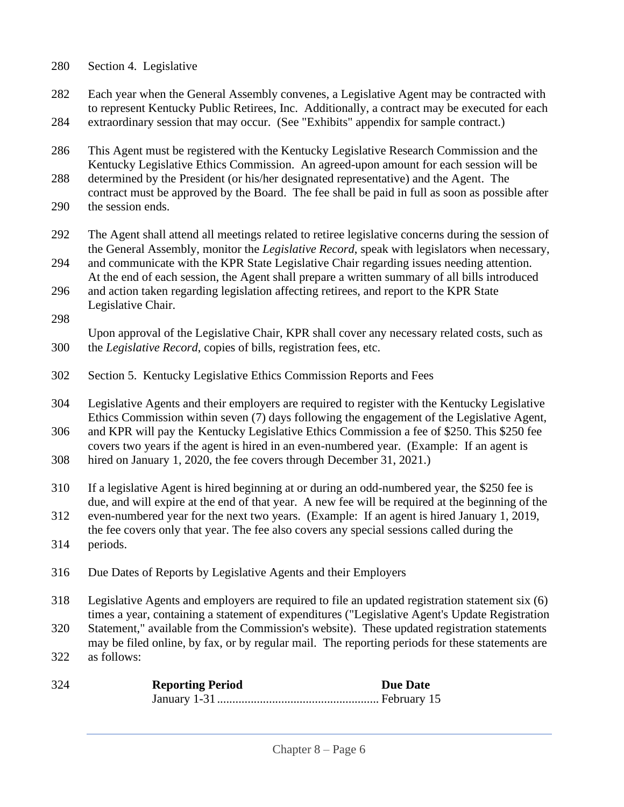- Section 4. Legislative
- Each year when the General Assembly convenes, a Legislative Agent may be contracted with to represent Kentucky Public Retirees, Inc. Additionally, a contract may be executed for each extraordinary session that may occur. (See "Exhibits" appendix for sample contract.)
- This Agent must be registered with the Kentucky Legislative Research Commission and the Kentucky Legislative Ethics Commission. An agreed-upon amount for each session will be
- determined by the President (or his/her designated representative) and the Agent. The contract must be approved by the Board. The fee shall be paid in full as soon as possible after the session ends.
- The Agent shall attend all meetings related to retiree legislative concerns during the session of the General Assembly, monitor the *Legislative Record*, speak with legislators when necessary,
- and communicate with the KPR State Legislative Chair regarding issues needing attention. At the end of each session, the Agent shall prepare a written summary of all bills introduced
- and action taken regarding legislation affecting retirees, and report to the KPR State Legislative Chair.
- 
- Upon approval of the Legislative Chair, KPR shall cover any necessary related costs, such as the *Legislative Record*, copies of bills, registration fees, etc.
- Section 5. Kentucky Legislative Ethics Commission Reports and Fees
- Legislative Agents and their employers are required to register with the Kentucky Legislative Ethics Commission within seven (7) days following the engagement of the Legislative Agent,

 and KPR will pay the Kentucky Legislative Ethics Commission a fee of \$250. This \$250 fee covers two years if the agent is hired in an even-numbered year. (Example: If an agent is

- hired on January 1, 2020, the fee covers through December 31, 2021.)
- If a legislative Agent is hired beginning at or during an odd-numbered year, the \$250 fee is due, and will expire at the end of that year. A new fee will be required at the beginning of the
- even-numbered year for the next two years. (Example: If an agent is hired January 1, 2019, the fee covers only that year. The fee also covers any special sessions called during the periods.
- Due Dates of Reports by Legislative Agents and their Employers
- Legislative Agents and employers are required to file an updated registration statement six (6) times a year, containing a statement of expenditures ("Legislative Agent's Update Registration
- Statement," available from the Commission's website). These updated registration statements may be filed online, by fax, or by regular mail. The reporting periods for these statements are
- as follows:

| 324 | <b>Reporting Period</b> | <b>Due Date</b> |
|-----|-------------------------|-----------------|
|     |                         |                 |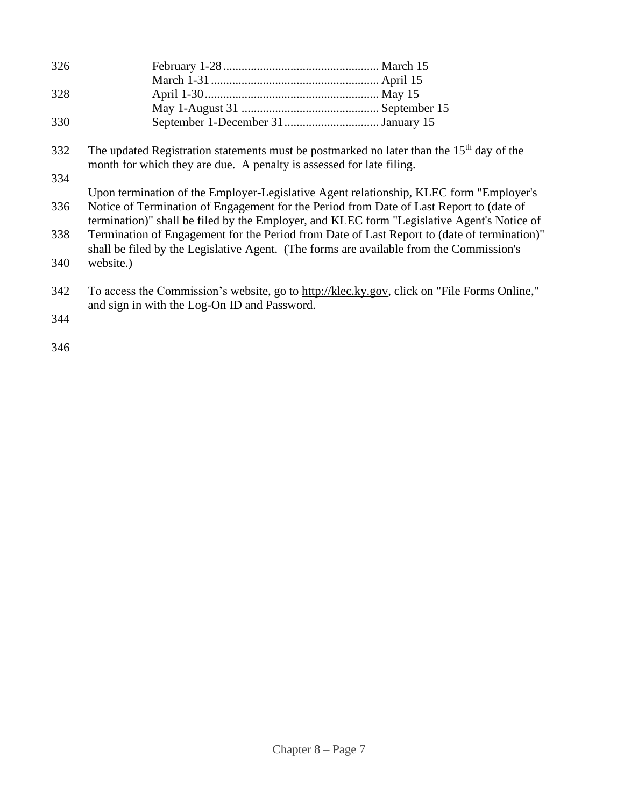| 326 |                                                                                                                                                                                        |
|-----|----------------------------------------------------------------------------------------------------------------------------------------------------------------------------------------|
|     |                                                                                                                                                                                        |
| 328 |                                                                                                                                                                                        |
|     |                                                                                                                                                                                        |
| 330 |                                                                                                                                                                                        |
| 332 | The updated Registration statements must be postmarked no later than the 15 <sup>th</sup> day of the<br>month for which they are due. A penalty is assessed for late filing.           |
| 334 |                                                                                                                                                                                        |
|     | Upon termination of the Employer-Legislative Agent relationship, KLEC form "Employer's                                                                                                 |
| 336 | Notice of Termination of Engagement for the Period from Date of Last Report to (date of<br>termination)" shall be filed by the Employer, and KLEC form "Legislative Agent's Notice of  |
| 338 | Termination of Engagement for the Period from Date of Last Report to (date of termination)"<br>shall be filed by the Legislative Agent. (The forms are available from the Commission's |
| 340 | website.)                                                                                                                                                                              |
| 342 | To access the Commission's website, go to http://klec.ky.gov, click on "File Forms Online,"<br>and sign in with the Log-On ID and Password.                                            |
| 344 |                                                                                                                                                                                        |
| 346 |                                                                                                                                                                                        |